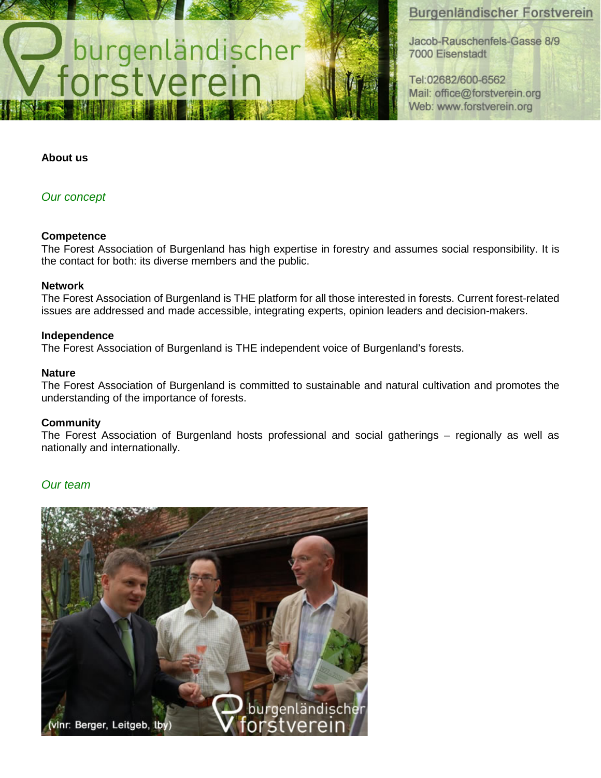# Burgenländischer Forstverein

Jacob-Rauschenfels-Gasse 8/9 7000 Eisenstadt

Tel:02682/600-6562 Mail: office@forstverein.org Web: www.forstverein.org

#### **About us**

### *Our concept*

#### **Competence**

The Forest Association of Burgenland has high expertise in forestry and assumes social responsibility. It is the contact for both: its diverse members and the public.

#### **Network**

The Forest Association of Burgenland is THE platform for all those interested in forests. Current forest-related issues are addressed and made accessible, integrating experts, opinion leaders and decision-makers.

#### **Independence**

The Forest Association of Burgenland is THE independent voice of Burgenland's forests.

burgenländischer

#### **Nature**

The Forest Association of Burgenland is committed to sustainable and natural cultivation and promotes the understanding of the importance of forests.

#### **Community**

The Forest Association of Burgenland hosts professional and social gatherings – regionally as well as nationally and internationally.

### *Our team*